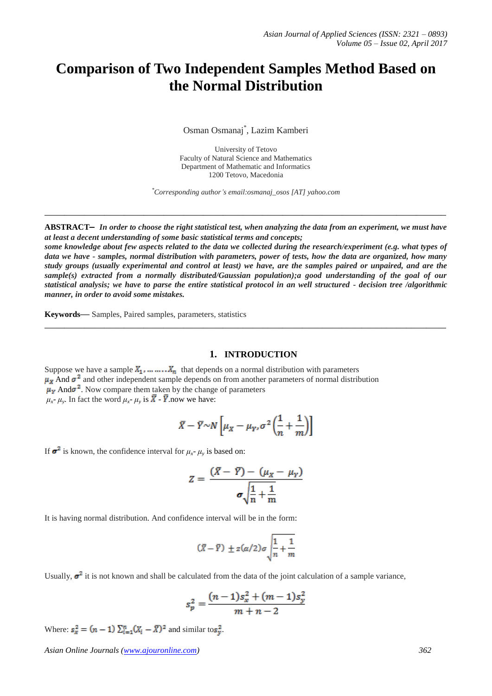# **Comparison of Two Independent Samples Method Based on the Normal Distribution**

Osman Osmanaj\* , Lazim Kamberi

University of Tetovo Faculty of Natural Science and Mathematics Department of Mathematic and Informatics 1200 Tetovo, Macedonia

*\*Corresponding author's email:osmanaj\_osos [AT] yahoo.com*

**ABSTRACT—** *In order to choose the right statistical test, when analyzing the data from an experiment, we must have at least a decent understanding of some basic statistical terms and concepts;*

**\_\_\_\_\_\_\_\_\_\_\_\_\_\_\_\_\_\_\_\_\_\_\_\_\_\_\_\_\_\_\_\_\_\_\_\_\_\_\_\_\_\_\_\_\_\_\_\_\_\_\_\_\_\_\_\_\_\_\_\_\_\_\_\_\_\_\_\_\_\_\_\_\_\_\_\_\_\_\_\_\_**

*some knowledge about few aspects related to the data we collected during the research/experiment (e.g. what types of data we have - samples, normal distribution with parameters, power of tests, how the data are organized, how many study groups (usually experimental and control at least) we have, are the samples paired or unpaired, and are the sample(s) extracted from a normally distributed/Gaussian population);a good understanding of the goal of our statistical analysis; we have to parse the entire statistical protocol in an well structured - decision tree /algorithmic manner, in order to avoid some mistakes.*

**\_\_\_\_\_\_\_\_\_\_\_\_\_\_\_\_\_\_\_\_\_\_\_\_\_\_\_\_\_\_\_\_\_\_\_\_\_\_\_\_\_\_\_\_\_\_\_\_\_\_\_\_\_\_\_\_\_\_\_\_\_\_\_\_\_\_\_\_\_\_\_\_\_\_\_\_\_\_\_\_\_**

**Keywords—** Samples, Paired samples, parameters, statistics

#### **1. INTRODUCTION**

Suppose we have a sample  $X_1, \ldots, X_n$  that depends on a normal distribution with parameters  $\mu_X$  And  $\sigma^2$  and other independent sample depends on from another parameters of normal distribution  $\mu_{\rm y}$  And  $\sigma^2$ . Now compare them taken by the change of parameters  $\mu_x$ -  $\mu_y$ . In fact the word  $\mu_x$ -  $\mu_y$  is  $\bar{X}$  -  $\bar{Y}$  now we have:

$$
\bar{X} - \bar{Y} \sim N \left[ \mu_X - \mu_Y, \sigma^2 \left( \frac{1}{n} + \frac{1}{m} \right) \right]
$$

If  $\sigma^2$  is known, the confidence interval for  $\mu_x$ -  $\mu_y$  is based on:

$$
Z = \frac{(\bar{X} - \bar{Y}) - (\mu_X - \mu_Y)}{\sigma \sqrt{\frac{1}{n} + \frac{1}{m}}}
$$

It is having normal distribution. And confidence interval will be in the form:

$$
(\bar{X} - \bar{Y}) \pm z(\alpha/2) \sigma \sqrt{\frac{1}{n} + \frac{1}{m}}
$$

Usually,  $\sigma^2$  it is not known and shall be calculated from the data of the joint calculation of a sample variance,

$$
s_p^2 = \frac{(n-1)s_x^2 + (m-1)s_y^2}{m+n-2}
$$

Where:  $s_x^2 = (n-1) \sum_{i=1}^n (X_i - \overline{X})^2$  and similar to  $s_y^2$ .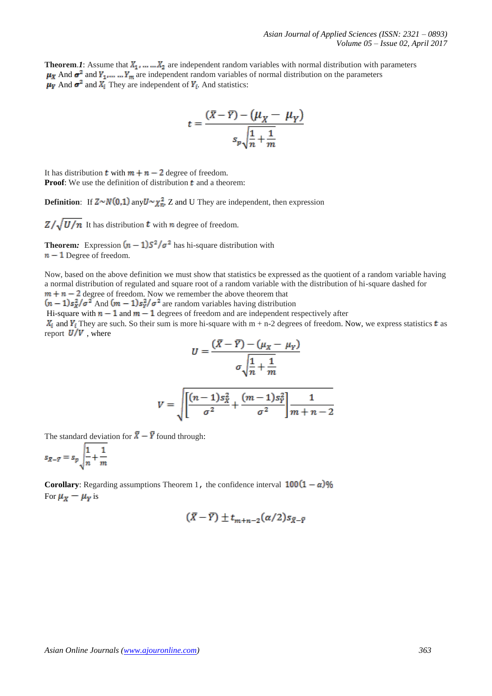**Theorem.1**: Assume that  $X_1, \ldots, X_n$  are independent random variables with normal distribution with parameters  $\mu_X$  And  $\sigma^2$  and  $Y_1$ ,... ...  $Y_m$  are independent random variables of normal distribution on the parameters  $\mu_Y$  And  $\sigma^2$  and  $X_i$  They are independent of  $Y_i$ . And statistics:

$$
t = \frac{(\bar{X} - \bar{Y}) - (\mu_X - \mu_Y)}{s_p \sqrt{\frac{1}{n} + \frac{1}{m}}}
$$

It has distribution **t** with  $m + n - 2$  degree of freedom. **Proof:** We use the definition of distribution  $t$  and a theorem:

**Definition:** If  $Z \sim N(0,1)$  any  $U \sim \chi_n^2$ , Z and U They are independent, then expression

 $Z/\sqrt{U/n}$  It has distribution **t** with *n* degree of freedom.

**Theorem:** Expression  $(n - 1)S^2/\sigma^2$  has hi-square distribution with  $n-1$  Degree of freedom.

Now, based on the above definition we must show that statistics be expressed as the quotient of a random variable having a normal distribution of regulated and square root of a random variable with the distribution of hi-square dashed for  $m + n - 2$  degree of freedom. Now we remember the above theorem that

 $(n-1)s_x^2/\sigma^2$  And  $(m-1)s_y^2/\sigma^2$  are random variables having distribution

Hi-square with  $n-1$  and  $m-1$  degrees of freedom and are independent respectively after

 $X_i$  and  $Y_i$  They are such. So their sum is more hi-square with m + n-2 degrees of freedom. Now, we express statistics t as report  $U/V$ , where  $\sim$ 

$$
U = \frac{(X - \overline{Y}) - (\mu_X - \mu_Y)}{\sigma \sqrt{\frac{1}{n} + \frac{1}{m}}}
$$

$$
V = \sqrt{\left[\frac{(n-1)s_X^2}{\sigma^2} + \frac{(m-1)s_Y^2}{\sigma^2}\right] \frac{1}{m+n-2}}
$$

The standard deviation for  $\bar{X} - \bar{Y}$  found through:

$$
s_{\bar{X}-\bar{Y}} = s_p \sqrt{\frac{1}{n} + \frac{1}{m}}
$$

**Corollary:** Regarding assumptions Theorem 1, the confidence interval  $100(1 - \alpha)\%$ For  $\mu_X - \mu_Y$  is

$$
(\bar{X}-\bar{Y})\pm t_{m+n-2}(\alpha/2)s_{\bar{X}-\bar{Y}}
$$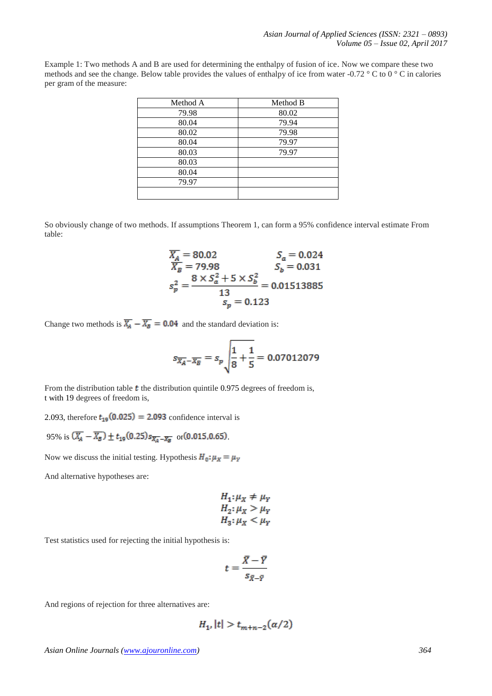Example 1: Two methods A and B are used for determining the enthalpy of fusion of ice. Now we compare these two methods and see the change. Below table provides the values of enthalpy of ice from water -0.72 ° C to 0 ° C in calories per gram of the measure:

| Method A | Method B |
|----------|----------|
| 79.98    | 80.02    |
| 80.04    | 79.94    |
| 80.02    | 79.98    |
| 80.04    | 79.97    |
| 80.03    | 79.97    |
| 80.03    |          |
| 80.04    |          |
| 79.97    |          |
|          |          |

So obviously change of two methods. If assumptions Theorem 1, can form a 95% confidence interval estimate From table:

$$
\frac{\overline{X_A}}{\overline{X_B}} = 80.02
$$
\n
$$
\frac{S_a}{S_b} = 0.024
$$
\n
$$
S_b = 0.031
$$
\n
$$
S_p^2 = \frac{8 \times S_a^2 + 5 \times S_b^2}{13} = 0.01513885
$$
\n
$$
S_p = 0.123
$$

Change two methods is  $\overline{X_A} - \overline{X_B} = 0.04$  and the standard deviation is:

$$
s_{\overline{X_A} - \overline{X_B}} = s_p \sqrt{\frac{1}{8} + \frac{1}{5}} = 0.07012079
$$

From the distribution table  $t$  the distribution quintile 0.975 degrees of freedom is, t with 19 degrees of freedom is,

2.093, therefore  $t_{19}(0.025) = 2.093$  confidence interval is

95% is  $(\overline{X_A} - \overline{X_B}) \pm t_{19}(0.25) s_{\overline{X_A} - \overline{X_B}}$  or  $(0.015, 0.65)$ .

Now we discuss the initial testing. Hypothesis  $H_0: \mu_X = \mu_Y$ 

And alternative hypotheses are:

$$
H_1: \mu_X \neq \mu_Y
$$
  
\n
$$
H_2: \mu_X > \mu_Y
$$
  
\n
$$
H_3: \mu_X < \mu_Y
$$

Test statistics used for rejecting the initial hypothesis is:

$$
t=\frac{\bar{X}-\bar{Y}}{s_{\bar{X}-\bar{Y}}}
$$

And regions of rejection for three alternatives are:

$$
H_{1'}|t| > t_{m+n-2}(\alpha/2)
$$

*Asian Online Journals [\(www.ajouronline.com\)](http://www.ajouronline.com/) 364*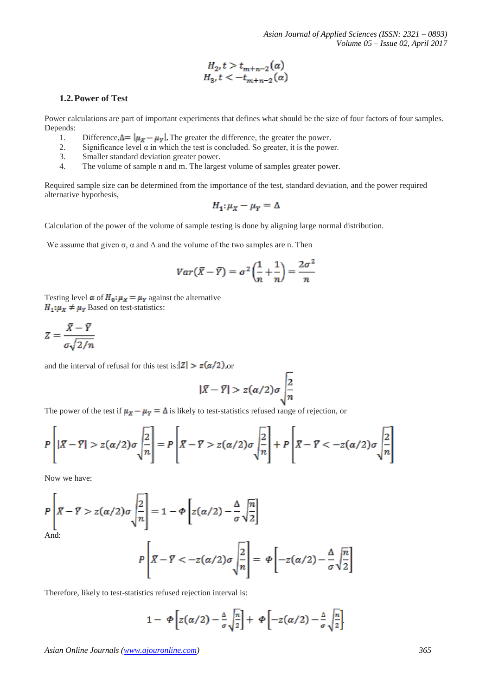$$
H_2, t > t_{m+n-2}(\alpha)
$$
  
H\_3, t < -t\_{m+n-2}(\alpha)

## **1.2.Power of Test**

Power calculations are part of important experiments that defines what should be the size of four factors of four samples. Depends:

- 1. Difference,  $\Delta = |\mu_X \mu_Y|$ . The greater the difference, the greater the power.
- 2. Significance level  $\alpha$  in which the test is concluded. So greater, it is the power.
- 3. Smaller standard deviation greater power.
- 4. The volume of sample n and m. The largest volume of samples greater power.

Required sample size can be determined from the importance of the test, standard deviation, and the power required alternative hypothesis,

$$
H_1: \mu_X - \mu_Y = \Delta
$$

Calculation of the power of the volume of sample testing is done by aligning large normal distribution.

We assume that given  $\sigma$ ,  $\alpha$  and  $\Delta$  and the volume of the two samples are n. Then

$$
Var(\bar{X} - \bar{Y}) = \sigma^2 \left(\frac{1}{n} + \frac{1}{n}\right) = \frac{2\sigma^2}{n}
$$

Testing level  $\alpha$  of  $H_0: \mu_X = \mu_Y$  against the alternative  $H_1: \mu_X \neq \mu_Y$  Based on test-statistics:

$$
Z = \frac{\bar{X} - \bar{Y}}{\sigma \sqrt{2/n}}
$$

and the interval of refusal for this test is:  $|Z| > z(\alpha/2)$ , or

$$
|\bar{X}-\bar{Y}|>z(\alpha/2)\sigma\sqrt{\frac{2}{n}}
$$

The power of the test if  $\mu_X - \mu_Y = \Delta$  is likely to test-statistics refused range of rejection, or

$$
P\left[|\bar{X}-\bar{Y}|>z(\alpha/2)\sigma\sqrt{\frac{2}{n}}\right]=P\left[\bar{X}-\bar{Y}>z(\alpha/2)\sigma\sqrt{\frac{2}{n}}\right]+P\left[\bar{X}-\bar{Y}<-z(\alpha/2)\sigma\sqrt{\frac{2}{n}}\right]
$$

Now we have:

 $\overline{a}$ 

$$
P\left|\overline{\overline{X}} - \overline{Y} > z(\alpha/2)\sigma\sqrt{\frac{2}{n}}\right| = 1 - \Phi\left[z(\alpha/2) - \frac{\Delta}{\sigma}\sqrt{\frac{n}{2}}\right]
$$
\nAnd:

\n
$$
P\left[\overline{X} - \overline{Y} < -z(\alpha/2)\sigma\sqrt{\frac{2}{n}}\right] = \Phi\left[-z(\alpha/2) - \frac{\Delta}{\sigma}\sqrt{\frac{n}{2}}\right]
$$

Therefore, likely to test-statistics refused rejection interval is:

$$
1 - \Phi \left[ z(\alpha/2) - \frac{\Delta}{\sigma} \sqrt{\frac{n}{2}} \right] + \Phi \left[ -z(\alpha/2) - \frac{\Delta}{\sigma} \sqrt{\frac{n}{2}} \right]
$$

*Asian Online Journals [\(www.ajouronline.com\)](http://www.ajouronline.com/) 365*